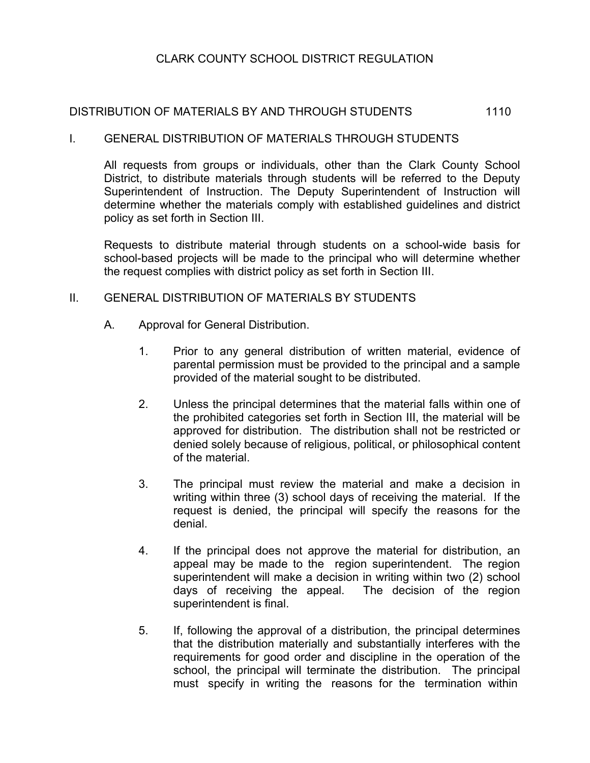# CLARK COUNTY SCHOOL DISTRICT REGULATION

# DISTRIBUTION OF MATERIALS BY AND THROUGH STUDENTS 1110

#### I. GENERAL DISTRIBUTION OF MATERIALS THROUGH STUDENTS

All requests from groups or individuals, other than the Clark County School District, to distribute materials through students will be referred to the Deputy Superintendent of Instruction. The Deputy Superintendent of Instruction will determine whether the materials comply with established guidelines and district policy as set forth in Section III.

Requests to distribute material through students on a school-wide basis for school-based projects will be made to the principal who will determine whether the request complies with district policy as set forth in Section III.

## II. GENERAL DISTRIBUTION OF MATERIALS BY STUDENTS

- A. Approval for General Distribution.
	- 1. Prior to any general distribution of written material, evidence of parental permission must be provided to the principal and a sample provided of the material sought to be distributed.
	- 2. Unless the principal determines that the material falls within one of the prohibited categories set forth in Section III, the material will be approved for distribution. The distribution shall not be restricted or denied solely because of religious, political, or philosophical content of the material.
	- 3. The principal must review the material and make a decision in writing within three (3) school days of receiving the material. If the request is denied, the principal will specify the reasons for the denial.
	- 4. If the principal does not approve the material for distribution, an appeal may be made to the region superintendent. The region superintendent will make a decision in writing within two (2) school days of receiving the appeal. The decision of the region superintendent is final.
	- 5. If, following the approval of a distribution, the principal determines that the distribution materially and substantially interferes with the requirements for good order and discipline in the operation of the school, the principal will terminate the distribution. The principal must specify in writing the reasons for the termination within